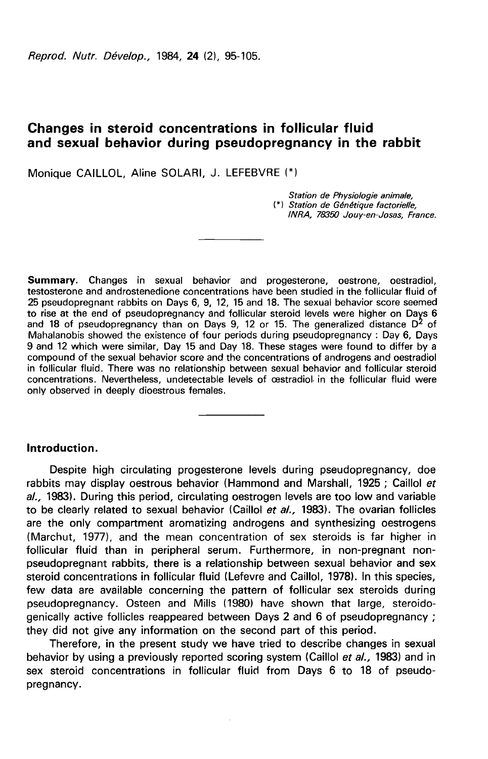Reprod. Nutr. Dévelop., 1984. 24 (2), 95-105.

# Changes in steroid concentrations in follicular fluid and sexual behavior during pseudopregnancy in the rabbit

Monique CAILLOL, Aline SOLARI, J. LEFEBVRE (\*)

Station de Physiologie animale. (\*) Station de Génétique factorielle, INRA, 78350 Jouy-en-Josas, France.

Summary. Changes in sexual behavior and progesterone, oestrone, oestradiol, testosterone and androstenedione concentrations have been studied in the follicular fluid of 25 pseudopregnant rabbits on Days 6, 9, 12, 15 and 18. The sexual behavior score seemed to rise at the end of pseudopregnancy and follicular steroid levels were higher on Days 6 to rise at the end of pseudopregnancy and follicular steroid levels were higher on Days 6<br>and 18 of pseudopregnancy than on Days 9, 12 or 15. The generalized distance D<sup>2</sup> of Mahalanobis showed the existence of four periods during pseudopregnancy : Day 6, Days 9 and 12 which were similar, Day 15 and Day 18. These stages were found to differ by a compound of the sexual behavior score and the concentrations of androgens and oestradiol in follicular fluid. There was no relationship between sexual behavior and follicular steroid concentrations. Nevertheless, undetectable levels of cestradiol. in the follicular fluid were only observed in deeply dioestrous females.

## Introduction.

Despite high circulating progesterone levels during pseudopregnancy, doe rabbits may display oestrous behavior (Hammond and Marshall, 1925 ; Caillol et al., 1983). During this period, circulating oestrogen levels are too low and variable to be clearly related to sexual behavior (Caillol et al., 1983). The ovarian follicles are the only compartment aromatizing androgens and synthesizing oestrogens (Marchut, 1977), and the mean concentration of sex steroids is far higher in follicular fluid than in peripheral serum. Furthermore, in non-pregnant nonpseudopregnant rabbits, there is a relationship between sexual behavior and sex steroid concentrations in follicular fluid (Lefevre and Caillol, 1978). In this species, few data are available concerning the pattern of follicular sex steroids during pseudopregnancy. Osteen and Mills (1980) have shown that large, steroidogenically active follicles reappeared between Days 2 and 6 of pseudopregnancy ; they did not give any information on the second part of this period.

Therefore, in the present study we have tried to describe changes in sexual behavior by using a previously reported scoring system (Caillol et al., 1983) and in sex steroid concentrations in follicular fluid from Days 6 to 18 of pseudopregnancy.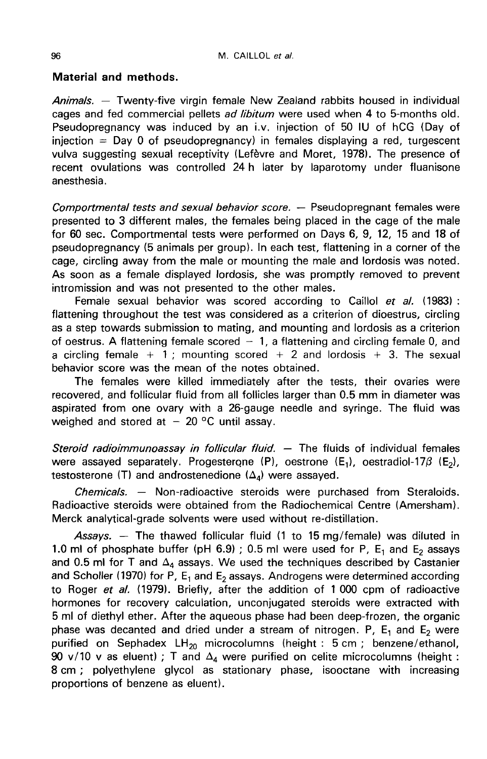### Material and methods.

Animals. — Twenty-five virgin female New Zealand rabbits housed in individual cages and fed commercial pellets ad libitum were used when 4 to 5-months old. Pseudopregnancy was induced by an i.v. injection of 50 IU of hCG (Day of injection = Day 0 of pseudopregnancy) in females displaying a red, turgescent vulva suggesting sexual receptivity (Lefbvre and Moret, 1978). The presence of recent ovulations was controlled 24 h later by laparotomy under fluanisone anesthesia.

Comportmental tests and sexual behavior score. — Pseudopregnant females were presented to 3 different males, the females being placed in the cage of the male for 60 sec. Comportmental tests were performed on Days 6, 9, 12, 15 and 18 of pseudopregnancy (5 animals per group). In each test, flattening in a corner of the cage, circling away from the male or mounting the male and lordosis was noted. As soon as a female displayed lordosis, she was promptly removed to prevent intromission and was not presented to the other males.

Female sexual behavior was scored according to Caillol et al. (1983) : flattening throughout the test was considered as a criterion of dioestrus, circling as a step towards submission to mating, and mounting and lordosis as a criterion of oestrus. A flattening female scored  $-1$ , a flattening and circling female 0, and a circling female  $+1$ : mounting scored  $+2$  and lordosis  $+3$ . The sexual behavior score was the mean of the notes obtained.

The females were killed immediately after the tests, their ovaries were recovered, and follicular fluid from all follicles larger than 0.5 mm in diameter was aspirated from one ovary with a 26-gauge needle and syringe. The fluid was weighed and stored at  $-20$  °C until assay.

Steroid radioimmunoassay in follicular fluid.  $-$  The fluids of individual females were assayed separately. Progesterone (P), oestrone (E<sub>1</sub>), oestradiol-17 $\beta$  (E<sub>2</sub>), testosterone (T) and androstenedione ( $\Delta_A$ ) were assayed.

Chemicals. — Non-radioactive steroids were purchased from Steraloids. Radioactive steroids were obtained from the Radiochemical Centre (Amersham). Merck analytical-grade solvents were used without re-distillation.

Assays.  $-$  The thawed follicular fluid (1 to 15 mg/female) was diluted in 1.0 ml of phosphate buffer (pH 6.9) ; 0.5 ml were used for P,  $E_1$  and  $E_2$  assays and 0.5 ml for T and  $\Delta_4$  assays. We used the techniques described by Castanier and Scholler (1970) for P,  $E_1$  and  $E_2$  assays. Androgens were determined according to Roger et al. (1979). Briefly, after the addition of 1 000 cpm of radioactive hormones for recovery calculation, unconjugated steroids were extracted with 5 ml of diethyl ether. After the aqueous phase had been deep-frozen, the organic phase was decanted and dried under a stream of nitrogen. P,  $E_1$  and  $E_2$  were purified on Sephadex  $LH_{20}$  microcolumns (height : 5 cm ; benzene/ethanol, 90 v/10 v as eluent) ; T and  $\Delta_4$  were purified on celite microcolumns (height : 8 cm ; polyethylene glycol as stationary phase, isooctane with increasing proportions of benzene as eluent).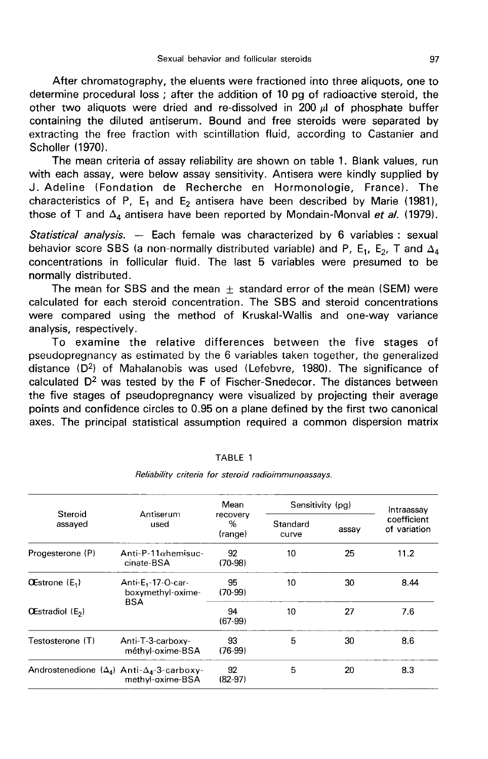After chromatography, the eluents were fractioned into three aliquots, one to determine procedural loss ; after the addition of 10 pg of radioactive steroid, the other two aliquots were dried and re-dissolved in  $200 \mu$  of phosphate buffer containing the diluted antiserum. Bound and free steroids were separated by extracting the free fraction with scintillation fluid, according to Castanier and Scholler (1970).

The mean criteria of assay reliability are shown on table 1. Blank values, run with each assay, were below assay sensitivity. Antisera were kindly supplied by J. Adeline (Fondation de Recherche en Hormonologie, France). The characteristics of P, E<sub>1</sub> and E<sub>2</sub> antisera have been described by Marie (1981), those of T and  $\Delta_4$  antisera have been reported by Mondain-Monval et al. (1979).

Statistical analysis.  $-$  Each female was characterized by 6 variables : sexual behavior score SBS (a non-normally distributed variable) and P, E<sub>1</sub>, E<sub>2</sub>, T and  $\Delta_4$ concentrations in follicular fluid. The last 5 variables were presumed to be normally distributed.

The mean for SBS and the mean  $+$  standard error of the mean (SEM) were calculated for each steroid concentration. The SBS and steroid concentrations were compared using the method of Kruskal-Wallis and one-way variance analysis, respectively.

To examine the relative differences between the five stages of pseudopregnancy as estimated by the 6 variables taken together, the generalized distance  $(D^2)$  of Mahalanobis was used (Lefebvre, 1980). The significance of calculated  $D<sup>2</sup>$  was tested by the F of Fischer-Snedecor. The distances between the five stages of pseudopregnancy were visualized by projecting their average points and confidence circles to 0.95 on a plane defined by the first two canonical axes. The principal statistical assumption required a common dispersion matrix

| Steroid<br>assayed           | Antiserum<br>used                                                             | Mean<br>recovery<br>%<br>(range) | Sensitivity (pg)  |       | Intraassav                  |
|------------------------------|-------------------------------------------------------------------------------|----------------------------------|-------------------|-------|-----------------------------|
|                              |                                                                               |                                  | Standard<br>curve | assay | coefficient<br>of variation |
| Progesterone (P)             | Anti-P-11 $\alpha$ hemisuc-<br>cinate-BSA                                     | 92<br>$(70-98)$                  | 10                | 25    | 11.2                        |
| <b>OEstrone</b> $(E_1)$      | Anti-E <sub>1</sub> -17-O-car-<br>boxymethyl-oxime-<br>BSA                    | 95<br>$(70-99)$                  | 10                | 30    | 8.44                        |
| OEstradiol (E <sub>2</sub> ) |                                                                               | 94<br>$(67-99)$                  | 10                | 27    | 7.6                         |
| Testosterone (T)             | Anti-T-3-carboxy-<br>méthyl-oxime-BSA                                         | 93<br>$(76-99)$                  | 5                 | 30    | 8.6                         |
|                              | Androstenedione $(\Delta_4)$ Anti- $\Delta_4$ -3-carboxy-<br>methyl-oxime-BSA | 92<br>$(82-97)$                  | 5                 | 20    | 8.3                         |

#### TABLE 1

Reliability criteria for steroid radioimmunoassays.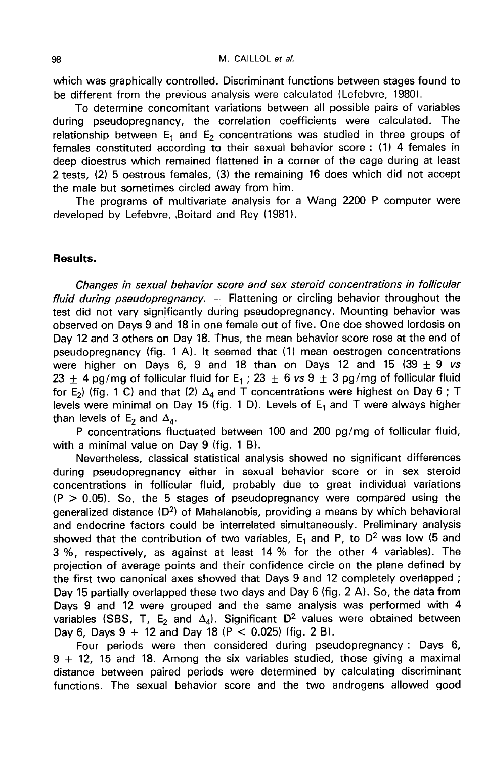which was qraphically controlled. Discriminant functions between stages found to be different from the previous analysis were calculated (Lefebvre, 1980).

To determine concomitant variations between all possible pairs of variables during pseudopregnancy, the correlation coefficients were calculated. The relationship between  $E_1$  and  $E_2$  concentrations was studied in three groups of females constituted according to their sexual behavior score : (1) 4 females in deep dioestrus which remained flattened in a corner of the cage during at least 2 tests, (2) 5 oestrous females, (3) the remaining 16 does which did not accept the male but sometimes circled away from him.

The programs of multivariate analysis for a Wang 2200 P computer were developed by Lefebvre, Boitard and Rey (1981).

## Results.

Changes in sexual behavior score and sex steroid concentrations in follicular fluid during pseudopregnancy. — Flattening or circling behavior throughout the test did not vary significantly during pseudopregnancy. Mounting behavior was observed on Days 9 and 18 in one female out of five. One doe showed lordosis on Day 12 and 3 others on Day 18. Thus, the mean behavior score rose at the end of pseudopregnancy (fig. 1 A). It seemed that (1) mean oestrogen concentrations were higher on Days 6, 9 and 18 than on Days 12 and 15 (39  $\pm$  9 vs 23  $\pm$  4 pg/mg of follicular fluid for E<sub>1</sub> ; 23  $\pm$  6 vs 9  $\pm$  3 pg/mg of follicular fluid for E<sub>2</sub>) (fig. 1 C) and that (2)  $\Delta_4$  and T concentrations were highest on Day 6 ; T levels were minimal on Day 15 (fig. 1 D). Levels of  $E_1$  and T were always higher than levels of  $E_2$  and  $\Delta_4$ .

P concentrations fluctuated between 100 and 200 pg/mg of follicular fluid, with a minimal value on Day 9 (fig. 1 B).

Nevertheless, classical statistical analysis showed no significant differences during pseudopregnancy either in sexual behavior score or in sex steroid concentrations in follicular fluid, probably due to great individual variations  $(P > 0.05)$ . So, the 5 stages of pseudopregnancy were compared using the generalized distance  $(D^2)$  of Mahalanobis, providing a means by which behavioral and endocrine factors could be interrelated simultaneously. Preliminary analysis showed that the contribution of two variables,  $E_1$  and P, to D<sup>2</sup> was low (5 and 3 %, respectively, as against at least 14 % for the other 4 variables). The projection of average points and their confidence circle on the plane defined by the first two canonical axes showed that Days 9 and 12 completely overlapped ; Day 15 partially overlapped these two days and Day 6 (fig. 2 A). So, the data from Days 9 and 12 were grouped and the same analysis was performed with 4 variables (SBS, T, E<sub>2</sub> and  $\Delta_4$ ). Significant D<sup>2</sup> values were obtained between Day 6, Days  $9 + 12$  and Day 18 (P < 0.025) (fig. 2 B).

Four periods were then considered during pseudopregnancy : Days 6, 9 + 12, 15 and 18. Among the six variables studied, those giving a maximal distance between paired periods were determined by calculating discriminant functions. The sexual behavior score and the two androgens allowed good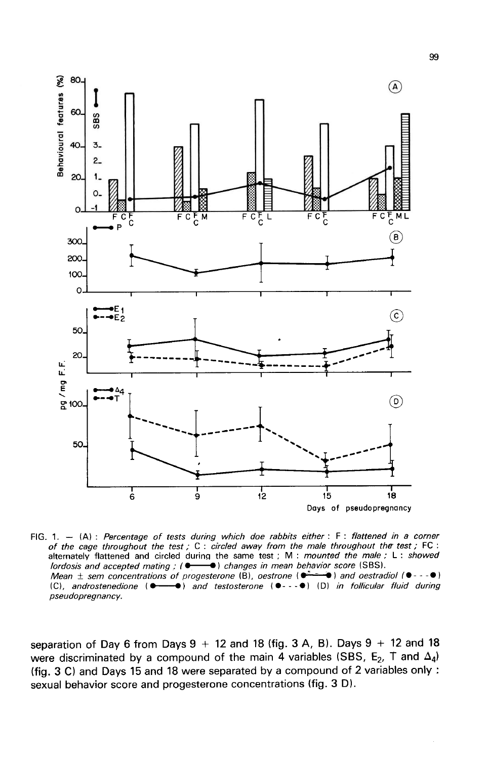

FIG. 1.  $-$  (A): Percentage of tests during which doe rabbits either: F: flattened in a corner of the cage throughout the test; C: circled away from the male throughout the test; FC:<br>alternately flattened and circled during the same test; M: mounted the male; L: showed lordosis and accepted mating ; ( $\bullet$   $\bullet$ ) changes in mean behavior score (SBS). Mean  $\pm$  sem concentrations of progesterone (B), oestrone ( $\bullet$   $\bullet$  ) and oestradiol ( $\bullet$  -  $\bullet$  ) (C), androstenedione ( $\bullet$  - ) and testosterone ( $\bullet$ -- $\bullet$ ) (D) in follicular fluid during pseudopregnancy.

separation of Day 6 from Days  $9 + 12$  and 18 (fig. 3 A, B). Days  $9 + 12$  and 18 were discriminated by a compound of the main 4 variables (SBS,  $E_2$ , T and  $\Delta_4$ ) (fig. 3 C) and Days 15 and 18 were separated by a compound of 2 variables only : sexual behavior score and progesterone concentrations (fig. 3 D).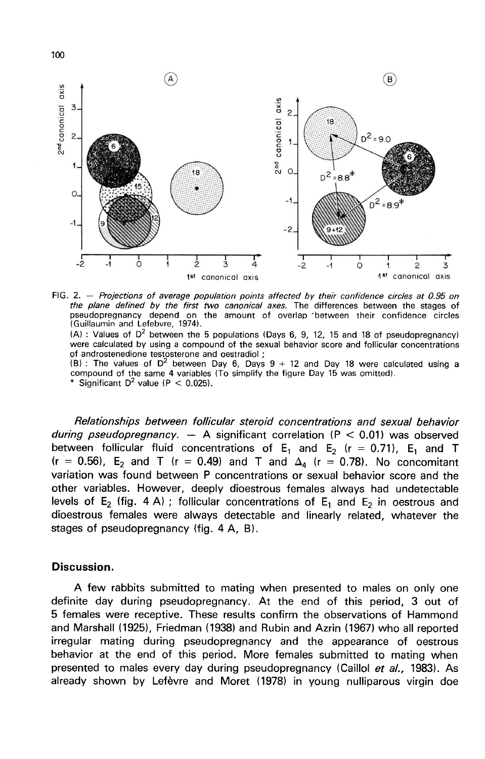

FIG. 2. - Projections of average population points affected by their confidence circles at 0.95 on the plane defined by the first two canonical axes. The differences between the stages of pseudopregnancy depend on the amount of overlap between their confidence circles (Guillaumin and Lefebvre, 1974).

 $(A)$ : Values of D<sup>2</sup> between the 5 populations (Days 6, 9, 12, 15 and 18 of pseudopregnancy) were calculated by using a compound of the sexual behavior score and follicular concentrations of androstenedione testosterone and oestradiol;

 $(8)$ : The values of D<sup>2</sup> between Day 6, Days  $9 + 12$  and Day 18 were calculated using a compound of the same 4 variables (To simplify the figure Day 15 was omitted). Significant  $D^2$  value (P < 0.025).

Relationships between follicular steroid concentrations and sexual behavior during pseudopregnancy.  $-$  A significant correlation (P < 0.01) was observed between follicular fluid concentrations of  $E_1$  and  $E_2$  (r = 0.71),  $E_1$  and T  $(r = 0.56)$ , E<sub>2</sub> and T (r = 0.49) and T and  $\Delta_4$  (r = 0.78). No concomitant variation was found between P concentrations or sexual behavior score and the other variables. However, deeply dioestrous females always had undetectable levels of E<sub>2</sub> (fig. 4 A) ; follicular concentrations of E<sub>1</sub> and E<sub>2</sub> in oestrous and dioestrous females were always detectable and linearly related, whatever the stages of pseudopregnancy (fig. 4 A, B).

### Discussion.

A few rabbits submitted to mating when presented to males on only one definite day during pseudopregnancy. At the end of this period, 3 out of 5 females were receptive. These results confirm the observations of Hammond and Marshall (1925), Friedman (1938) and Rubin and Azrin (1967) who all reported irregular mating during pseudopregnancy and the appearance of oestrous behavior at the end of this period. More females submitted to mating when presented to males every day during pseudopregnancy (Caillol et al., 1983). As already shown by Lefèvre and Moret (1978) in young nulliparous virgin doe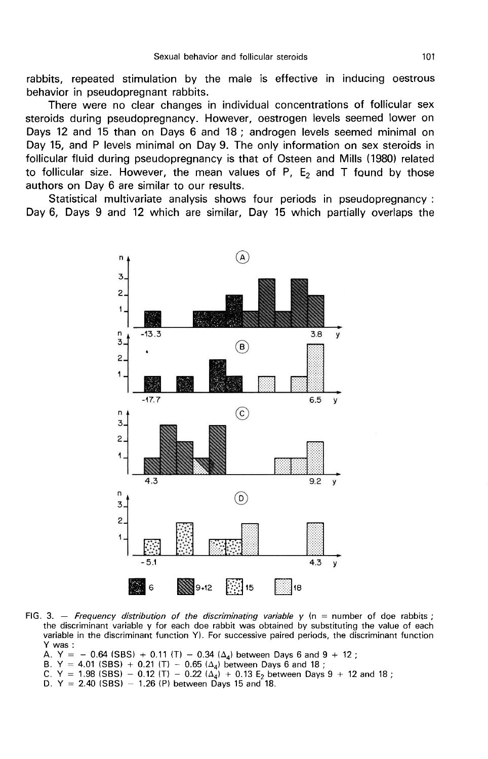rabbits, repeated stimulation by the male is effective in inducing oestrous behavior in pseudopregnant rabbits.

There were no clear changes in individual concentrations of follicular sex steroids during pseudopregnancy. However, oestrogen levels seemed lower on Days 12 and 15 than on Days 6 and 18 ; androgen levels seemed minimal on Day 15, and P levels minimal on Day 9. The only information on sex steroids in follicular fluid during pseudopregnancy is that of Osteen and Mills (1980) related to follicular size. However, the mean values of P,  $E_2$  and T found by those authors on Day 6 are similar to our results.

Statistical multivariate analysis shows four periods in pseudopregnancy : Day 6, Days 9 and 12 which are similar, Day 15 which partially overlaps the



FIG. 3. - Frequency distribution of the discriminating variable  $y$  (n = number of doe rabbits; the discriminant variable y for each doe rabbit was obtained by substituting the value of each variable in the discriminant function Y). For successive paired periods, the discriminant function Y was:

A. Y = - 0.64 (SBS) + 0.11 (T) - 0.34 ( $\Delta_d$ ) between Days 6 and 9 + 12;

B. Y = 4.01 (SBS) + 0.21 (T) - 0.65 ( $\Delta_4$ ) between Days 6 and 18;

C. Y = 1.98 (SBS) - 0.12 (T) - 0.22 ( $\Delta_4$ ) + 0.13 E<sub>2</sub> between Days 9 + 12 and 18;

D. Y = 2.40 (SBS) - 1.26 (P) between Days 15 and 18.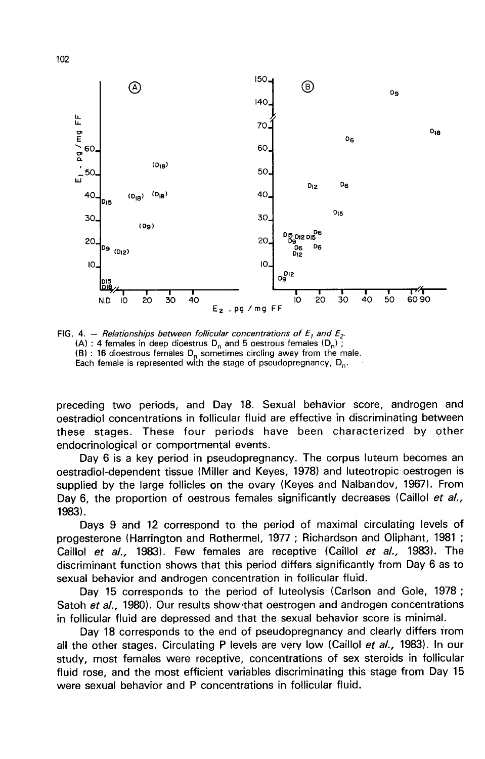

FIG. 4. - Relationships between follicular concentrations of  $E_1$  and  $E_2$ . (A) : 4 females in deep dioestrus  $D_n$  and 5 oestrous females  $(D_n)$ ; (B) : 16 dioestrous females  $D_n$  sometimes circling away from the male. Each female is represented with the stage of pseudopregnancy,  $D_{n}$ .

preceding two periods, and Day 18. Sexual behavior score, androgen and oestradiol concentrations in follicular fluid are effective in discriminating between these stages. These four periods have been characterized by other endocrinological or comportmental events.

Day 6 is a key period in pseudopregnancy. The corpus luteum becomes an oestradiol-dependent tissue (Miller and Keyes, 1978) and luteotropic oestrogen is supplied by the large follicles on the ovary (Keyes and Nalbandov, 1967). From Day 6, the proportion of oestrous females significantly decreases (Caillol et al., 19831.

Days 9 and 12 correspond to the period of maximal circulating levels of progesterone (Harrington and Rothermel, 1977 ; Richardson and Oliphant, 1981 ; Caillol *et al.,* 1983). Few females are receptive (Caillol *et al.,* 1983). The discriminant function shows that this period differs significantly from Day 6 as to sexual behavior and androgen concentration in follicular discriminant function shows that this period differs significantly from Day 6 as to sexual behavior and androgen concentration in follicular fluid.

Day 15 corresponds to the period of luteolysis (Carlson and Gole, 1978;<br>Satoh et al., 1980). Our results show that oestrogen and androgen concentrations in follicular fluid are depressed and that the sexual behavior score is minimal.

Day 18 corresponds to the end of pseudopregnancy and clearly differs from all the other stages. Circulating P levels are very low (Caillol et al., 1983). In our study, most females were receptive, concentrations of sex steroids in follicular fluid rose, and the most efficient variables discriminating this stage from Day 15 were sexual behavior and P concentrations in follicular fluid.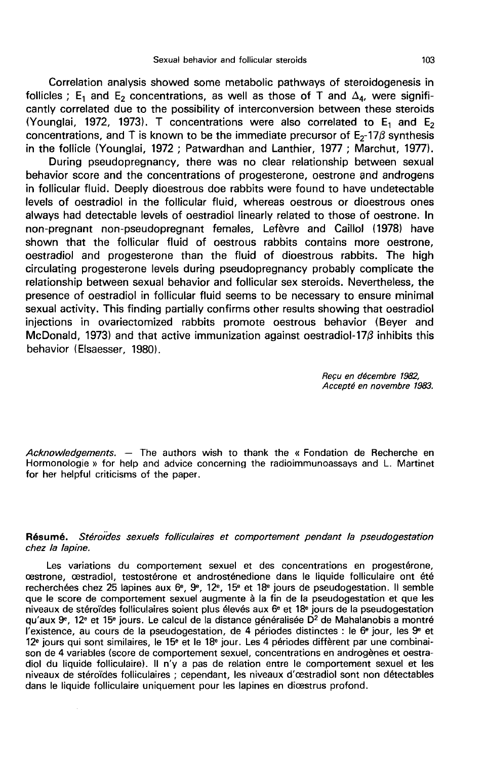Correlation analysis showed some metabolic pathways of steroidogenesis in follicles ; E<sub>1</sub> and E<sub>2</sub> concentrations, as well as those of T and  $\Delta_4$ , were significantly correlated due to the possibility of interconversion between these steroids (Younglai, 1972, 1973). T concentrations were also correlated to  $E_1$  and  $E_2$ cantly correlated due to the possibility of interconversion between these steroids<br>(Younglai, 1972, 1973). T concentrations were also correlated to  $E_1$  and  $E_2$ <br>concentrations, and T is known to be the immediate precur in the follicle (Younglai, 1972 ; Patwardhan and Lanthier, 1977 ; Marchut, 1977).

During pseudopregnancy, there was no clear relationship between sexual behavior score and the concentrations of progesterone, oestrone and androgens in follicular fluid. Deeply dioestrous doe rabbits were found to have undetectable levels of oestradiol in the follicular fluid, whereas oestrous or dioestrous ones always had detectable levels of oestradiol linearly related to those of oestrone. In non-pregnant non-pseudopregnant females, Lefèvre and Caillol (1978) have shown that the follicular fluid of oestrous rabbits contains more oestrone, oestradiol and progesterone than the fluid of dioestrous rabbits. The high circulating progesterone levels during pseudopregnancy probably complicate the relationship between sexual behavior and follicular sex steroids. Nevertheless, the presence of oestradiol in follicular fluid seems to be necessary to ensure minimal sexual activity. This finding partially confirms other results showing that oestradiol injections in ovariectomized rabbits promote oestrous behavior (Beyer and McDonald, 1973) and that active immunization against oestradiol-17 $\beta$  inhibits this behavior (Elsaesser, 1980).

> Recu en décembre 1982, Accept6 en novembre 1983.

Acknowledgements.  $-$  The authors wish to thank the « Fondation de Recherche en Hormonologie » for help and advice concerning the radioimmunoassays and L. Martinet for her helpful criticisms of the paper.

### Résumé. Stéroides sexuels folliculaires et comportement pendant la pseudogestation chez la lapine.

Les variations du comportement sexuel et des concentrations en progestérone, oestrone, oestradiol, testostérone et androsténedione dans le liquide folliculaire ont été recherchées chez 25 lapines aux 6<sup>e</sup>, 9<sup>e</sup>, 12<sup>e</sup>, 15<sup>e</sup> et 18<sup>e</sup> jours de pseudogestation. Il semble que le score de comportement sexuel augmente à la fin de la pseudogestation et que les niveaux de stéroïdes folliculaires soient plus élevés aux  $6<sup>e</sup>$  et 18<sup>e</sup> jours de la pseudogestation qu'aux  $9^{\circ}$ , 12<sup>e</sup> et 15<sup>e</sup> jours. Le calcul de la distance généralisée D<sup>2</sup> de Mahalanobis a montré l'existence, au cours de la pseudogestation, de 4 périodes distinctes : le  $6^{\circ}$  jour, les  $9^{\circ}$  et 12e jours qui sont similaires, le 15e et le 18e jour. Les 4 périodes diffèrent par une combinaison de 4 variables (score de comportement sexuel, concentrations en androgènes et oestradiol du liquide folliculaire). Il n'y a pas de relation entre le comportement sexuel et les niveaux de stéroïdes folliculaires ; cependant, les niveaux d'œstradiol sont non détectables dans le liquide folliculaire uniquement pour les lapines en dicestrus profond.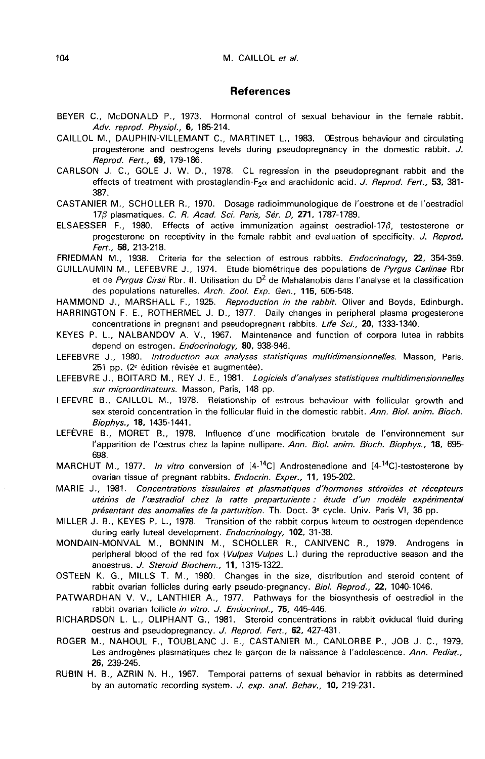#### References

- BEYER C., McDONALD P., 1973. Hormonal control of sexual behaviour in the female rabbit. Adv. reprod. Physiol., 6, 185-214.
- CAILLOL M., DAUPHIN-VILLEMANT C., MARTINET L., 1983. OEstrous behaviour and circulating progesterone and oestrogens levels during pseudopregnancy in the domestic rabbit. J. Reprod. Fert., 69, 179-186.
- CARLSON J. C., GOLE J. W. D., 1978. CL regression in the pseudopregnant rabbit and the E., McDONALD P., 1973. Hormonal control of sexual behaviour in the female rabbit.<br>Adv. reprod. Physiol., **6**, 185-214.<br>M., DAUPHIN-VILLEMANT C., MARTINET L., 1983. OEstrous behaviour and circulating<br>progesterone and oestr 387.
- CASTANIER M., SCHOLLER R., 1970. Dosage radioimmunologique de l'oestrone et de l'oestradiol  $17\beta$  plasmatiques. C. R. Acad. Sci. Paris, Sér. D, 271, 1787-1789.
- ELSAESSER F., 1980. Effects of active immunization against oestradiol-170, testosterone or progesterone on receptivity in the female rabbit and evaluation of specificity. J. Reprod. Fert., 58, 213-218.
- FRIEDMAN M., 1938. Criteria for the selection of estrous rabbits. Endocrinology, 22, 354-359.
- GUILLAUMIN M., LEFEBVRE J., 1974. Etude biométrique des populations de Pyrgus Carlinae Rbr et de Pyrgus Cirsii Rbr. II. Utilisation du D<sup>2</sup> de Mahalanobis dans l'analyse et la classification des populations naturelles. Arch. Zool. Exp. Gen., 115, 505-548.<br>HAMMOND J., MARSHALL F., 1925. Reproduction in the rabbit. Oliver and Boyds, Edinburgh.
- 
- HARRINGTON F. E., ROTHERMEL J. D., 1977. Daily changes in peripheral plasma progesterone concentrations in pregnant and pseudopregnant rabbits. Life Sci., 20, 1333-1340.
- KEYES P. L., NALBANDOV A. V., 1967. Maintenance and function of corpora lutea in rabbits depend on estrogen. Endocrinology, 80, 938-946.
- LEFEBVRE J., 1980. Introduction aux analyses statistiques multidimensionnelles. Masson, Paris. 251 pp. (2<sup>e</sup> édition révisée et augmentée).
- LEFEBVRE J., BOITARD M., REY J. E., 1981. Logiciels d'analyses statistiques multidimensionnelles sur microordinateurs. Masson, Paris, 148 pp.
- LEFEVRE B., CAILLOL M., 1978. Relationship of estrous behaviour with follicular growth and sex steroid concentration in the follicular fluid in the domestic rabbit. Ann. Biol. anim. Bioch. Biophys., 18, 1435-1441.
- LEFEVRE B., MORET B., 1978. Influence d'une modification brutale de 1'environnement sur l'apparition de l'oestrus chez la lapine nullipare. Ann. Biol. anim. Bioch. Biophys., 18, 695-698.
- MARCHUT M., 1977. In vitro conversion of  $[4^{-14}C]$  Androstenedione and  $[4^{-14}C]$ -testosterone by ovarian tissue of pregnant rabbits. Endocrin. Exper., 11, 195-202.
- MARIE J., 1981. Concentrations tissulaires et plasmatiques d'hormones stéroïdes et récepteurs utérins de l'œstradiol chez la ratte preparturiente : étude d'un modèle expérimental présentant des anomalies de la parturition. Th. Doct. 3<sup>e</sup> cycle. Univ. Paris VI, 36 pp.
- MILLER J. B., KEYES P. L., 1978. Transition of the rabbit corpus luteum to oestrogen dependence during early luteal development. Endocrinology, 102, 31-38.
- MONDAIN-MONVAL M., BONNIN M., SCHOLLER R., CANIVENC R., 1979. Androgens in peripheral blood of the red fox (Vulpes Vulpes L.) during the reproductive season and the anoestrus. J. Steroid Biochem., 11, 1315-1322.
- OSTEEN K. G., MILLS T. M., 1980. Changes in the size, distribution and steroid content of rabbit ovarian follicles during early pseudo-pregnancy. Biol. Reprod., 22, 1040-1046.
- PATWARDHAN V. V., LANTHIER A., 1977. Pathways for the biosynthesis of oestradiol in the rabbit ovarian follicle in vitro. J. Endocrinol., 75, 445-446.
- RICHARDSON L. L., OLIPHANT G., 1981. Steroid concentrations in rabbit oviducal fluid during oestrus and pseudopregnancy. J. Reprod. Fert., 62, 427-431.
- ROGER M., NAHOUL F., TOUBLANC J. E., CASTANIER M., CANLORBE P., JOB J. C., 1979. Les androgènes plasmatiques chez le garçon de la naissance à l'adolescence. Ann. Pediat., 26, 239-245.
- RUBIN H. B., AZRIN N. H., 1967. Temporal patterns of sexual behavior in rabbits as determined by an automatic recording system. J. exp. anal. Behav., 10, 219-231.